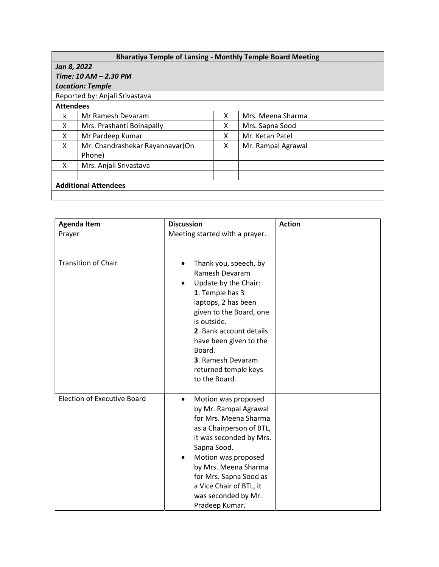## Bharatiya Temple of Lansing - Monthly Temple Board Meeting

## Jan 8, 2022 Time: 10 AM – 2.30 PM

| <b>Location: Temple</b>        |                                           |   |                    |  |  |  |
|--------------------------------|-------------------------------------------|---|--------------------|--|--|--|
| Reported by: Anjali Srivastava |                                           |   |                    |  |  |  |
| <b>Attendees</b>               |                                           |   |                    |  |  |  |
| x                              | Mr Ramesh Devaram                         | х | Mrs. Meena Sharma  |  |  |  |
| X                              | Mrs. Prashanti Boinapally                 | x | Mrs. Sapna Sood    |  |  |  |
| X                              | Mr Pardeep Kumar                          | X | Mr. Ketan Patel    |  |  |  |
| X                              | Mr. Chandrashekar Rayannavar(On<br>Phone) | x | Mr. Rampal Agrawal |  |  |  |
| X                              | Mrs. Anjali Srivastava                    |   |                    |  |  |  |
|                                |                                           |   |                    |  |  |  |
| <b>Additional Attendees</b>    |                                           |   |                    |  |  |  |
|                                |                                           |   |                    |  |  |  |

| <b>Discussion</b><br><b>Agenda Item</b> |                                                                                                                                                                                                                                                                                                                    | <b>Action</b> |
|-----------------------------------------|--------------------------------------------------------------------------------------------------------------------------------------------------------------------------------------------------------------------------------------------------------------------------------------------------------------------|---------------|
| Prayer                                  | Meeting started with a prayer.                                                                                                                                                                                                                                                                                     |               |
| <b>Transition of Chair</b>              | Thank you, speech, by<br>$\bullet$<br>Ramesh Devaram<br>Update by the Chair:<br>$\bullet$<br>1. Temple has 3<br>laptops, 2 has been<br>given to the Board, one<br>is outside.<br>2. Bank account details<br>have been given to the<br>Board.<br>3. Ramesh Devaram<br>returned temple keys<br>to the Board.         |               |
| <b>Election of Executive Board</b>      | Motion was proposed<br>$\bullet$<br>by Mr. Rampal Agrawal<br>for Mrs. Meena Sharma<br>as a Chairperson of BTL,<br>it was seconded by Mrs.<br>Sapna Sood.<br>Motion was proposed<br>$\bullet$<br>by Mrs. Meena Sharma<br>for Mrs. Sapna Sood as<br>a Vice Chair of BTL, it<br>was seconded by Mr.<br>Pradeep Kumar. |               |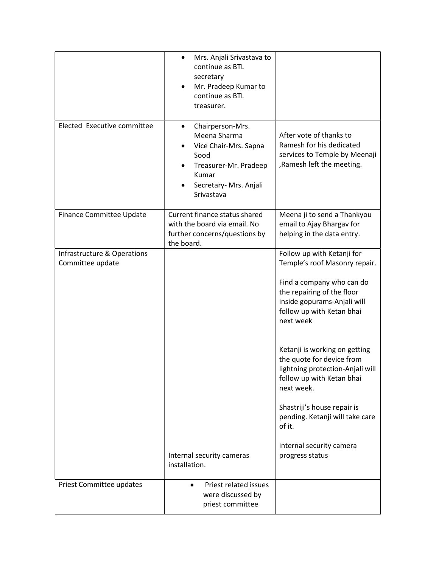|                                                 | Mrs. Anjali Srivastava to<br>$\bullet$<br>continue as BTL<br>secretary<br>Mr. Pradeep Kumar to<br>continue as BTL<br>treasurer.                          |                                                                                                                                                                                                                                                                                                                                                                                                                                                                         |
|-------------------------------------------------|----------------------------------------------------------------------------------------------------------------------------------------------------------|-------------------------------------------------------------------------------------------------------------------------------------------------------------------------------------------------------------------------------------------------------------------------------------------------------------------------------------------------------------------------------------------------------------------------------------------------------------------------|
| Elected Executive committee                     | Chairperson-Mrs.<br>$\bullet$<br>Meena Sharma<br>Vice Chair-Mrs. Sapna<br>Sood<br>Treasurer-Mr. Pradeep<br>Kumar<br>Secretary- Mrs. Anjali<br>Srivastava | After vote of thanks to<br>Ramesh for his dedicated<br>services to Temple by Meenaji<br>, Ramesh left the meeting.                                                                                                                                                                                                                                                                                                                                                      |
| Finance Committee Update                        | Current finance status shared<br>with the board via email. No<br>further concerns/questions by<br>the board.                                             | Meena ji to send a Thankyou<br>email to Ajay Bhargav for<br>helping in the data entry.                                                                                                                                                                                                                                                                                                                                                                                  |
| Infrastructure & Operations<br>Committee update | Internal security cameras<br>installation.                                                                                                               | Follow up with Ketanji for<br>Temple's roof Masonry repair.<br>Find a company who can do<br>the repairing of the floor<br>inside gopurams-Anjali will<br>follow up with Ketan bhai<br>next week<br>Ketanji is working on getting<br>the quote for device from<br>lightning protection-Anjali will<br>follow up with Ketan bhai<br>next week.<br>Shastriji's house repair is<br>pending. Ketanji will take care<br>of it.<br>internal security camera<br>progress status |
| Priest Committee updates                        | Priest related issues<br>$\bullet$<br>were discussed by<br>priest committee                                                                              |                                                                                                                                                                                                                                                                                                                                                                                                                                                                         |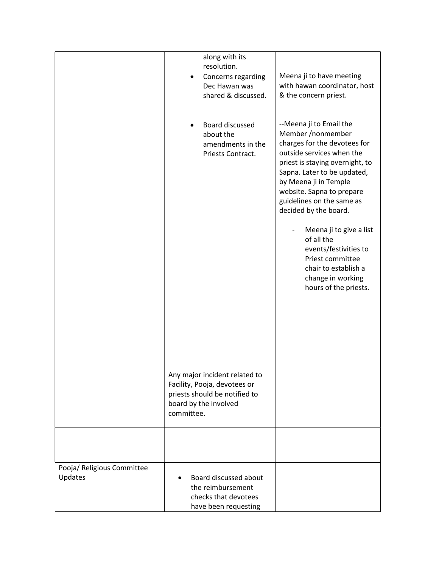|                                       | along with its                                                                                                                        |                                                                                                                                                                                                                                                                                         |
|---------------------------------------|---------------------------------------------------------------------------------------------------------------------------------------|-----------------------------------------------------------------------------------------------------------------------------------------------------------------------------------------------------------------------------------------------------------------------------------------|
|                                       | resolution.                                                                                                                           |                                                                                                                                                                                                                                                                                         |
|                                       | Concerns regarding<br>Dec Hawan was                                                                                                   | Meena ji to have meeting<br>with hawan coordinator, host                                                                                                                                                                                                                                |
|                                       | shared & discussed.                                                                                                                   | & the concern priest.                                                                                                                                                                                                                                                                   |
|                                       |                                                                                                                                       |                                                                                                                                                                                                                                                                                         |
|                                       |                                                                                                                                       |                                                                                                                                                                                                                                                                                         |
|                                       | Board discussed<br>about the<br>amendments in the<br>Priests Contract.                                                                | --Meena ji to Email the<br>Member /nonmember<br>charges for the devotees for<br>outside services when the<br>priest is staying overnight, to<br>Sapna. Later to be updated,<br>by Meena ji in Temple<br>website. Sapna to prepare<br>guidelines on the same as<br>decided by the board. |
|                                       |                                                                                                                                       | Meena ji to give a list<br>of all the<br>events/festivities to<br>Priest committee<br>chair to establish a                                                                                                                                                                              |
|                                       |                                                                                                                                       | change in working<br>hours of the priests.                                                                                                                                                                                                                                              |
|                                       |                                                                                                                                       |                                                                                                                                                                                                                                                                                         |
|                                       | Any major incident related to<br>Facility, Pooja, devotees or<br>priests should be notified to<br>board by the involved<br>committee. |                                                                                                                                                                                                                                                                                         |
|                                       |                                                                                                                                       |                                                                                                                                                                                                                                                                                         |
| Pooja/ Religious Committee<br>Updates | Board discussed about<br>the reimbursement<br>checks that devotees<br>have been requesting                                            |                                                                                                                                                                                                                                                                                         |